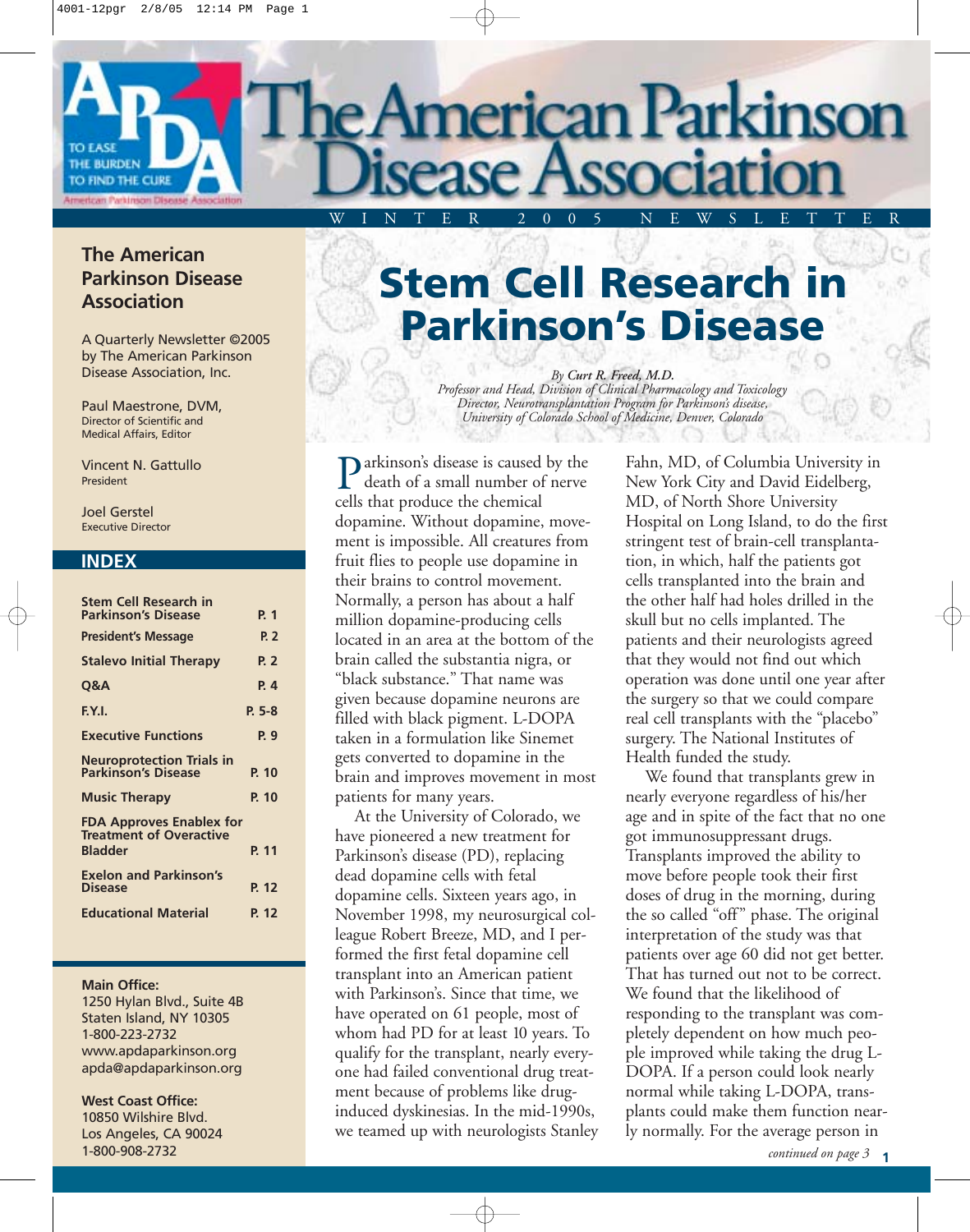# American Parkinson WINTER 2005 NEWSLETTER

# **The American Parkinson Disease Association**

THE BURDEN TO FIND THE CURE

> A Quarterly Newsletter ©2005 by The American Parkinson Disease Association, Inc.

Paul Maestrone, DVM, Director of Scientific and Medical Affairs, Editor

Vincent N. Gattullo President

Joel Gerstel Executive Director

## **INDEX**

| <b>Stem Cell Research in</b><br><b>Parkinson's Disease</b>                          | P. 1        |
|-------------------------------------------------------------------------------------|-------------|
| <b>President's Message</b>                                                          | P. 2        |
| <b>Stalevo Initial Therapy</b>                                                      | <b>P. 2</b> |
| Q&A                                                                                 | P. 4        |
| F.Y.I.                                                                              | $P. 5-8$    |
| <b>Executive Functions</b>                                                          | P. 9        |
| <b>Neuroprotection Trials in</b><br><b>Parkinson's Disease</b>                      | P. 10       |
| <b>Music Therapy</b>                                                                | P. 10       |
| <b>FDA Approves Enablex for</b><br><b>Treatment of Overactive</b><br><b>Bladder</b> | P. 11       |
| <b>Exelon and Parkinson's</b><br><b>Disease</b>                                     | P. 12       |
| <b>Educational Material</b>                                                         | P 12        |
|                                                                                     |             |

### **Main Office:**

1250 Hylan Blvd., Suite 4B Staten Island, NY 10305 1-800-223-2732 www.apdaparkinson.org apda@apdaparkinson.org

**West Coast Office:** 10850 Wilshire Blvd. Los Angeles, CA 90024 1-800-908-2732

# **Stem Cell Research in Parkinson's Disease**

*By Curt R. Freed, M.D. Professor and Head, Division of Clinical Pharmacology and Toxicology Director, Neurotransplantation Program for Parkinson's disease, University of Colorado School of Medicine, Denver, Colorado*

**P** arkinson's disease is caused by the death of a small number of nerve death of a small number of nerve cells that produce the chemical dopamine. Without dopamine, movement is impossible. All creatures from fruit flies to people use dopamine in their brains to control movement. Normally, a person has about a half million dopamine-producing cells located in an area at the bottom of the brain called the substantia nigra, or "black substance." That name was given because dopamine neurons are filled with black pigment. L-DOPA taken in a formulation like Sinemet gets converted to dopamine in the brain and improves movement in most patients for many years.

At the University of Colorado, we have pioneered a new treatment for Parkinson's disease (PD), replacing dead dopamine cells with fetal dopamine cells. Sixteen years ago, in November 1998, my neurosurgical colleague Robert Breeze, MD, and I performed the first fetal dopamine cell transplant into an American patient with Parkinson's. Since that time, we have operated on 61 people, most of whom had PD for at least 10 years. To qualify for the transplant, nearly everyone had failed conventional drug treatment because of problems like druginduced dyskinesias. In the mid-1990s, we teamed up with neurologists Stanley Fahn, MD, of Columbia University in New York City and David Eidelberg, MD, of North Shore University Hospital on Long Island, to do the first stringent test of brain-cell transplantation, in which, half the patients got cells transplanted into the brain and the other half had holes drilled in the skull but no cells implanted. The patients and their neurologists agreed that they would not find out which operation was done until one year after the surgery so that we could compare real cell transplants with the "placebo" surgery. The National Institutes of Health funded the study.

We found that transplants grew in nearly everyone regardless of his/her age and in spite of the fact that no one got immunosuppressant drugs. Transplants improved the ability to move before people took their first doses of drug in the morning, during the so called "off" phase. The original interpretation of the study was that patients over age 60 did not get better. That has turned out not to be correct. We found that the likelihood of responding to the transplant was completely dependent on how much people improved while taking the drug L-DOPA. If a person could look nearly normal while taking L-DOPA, transplants could make them function nearly normally. For the average person in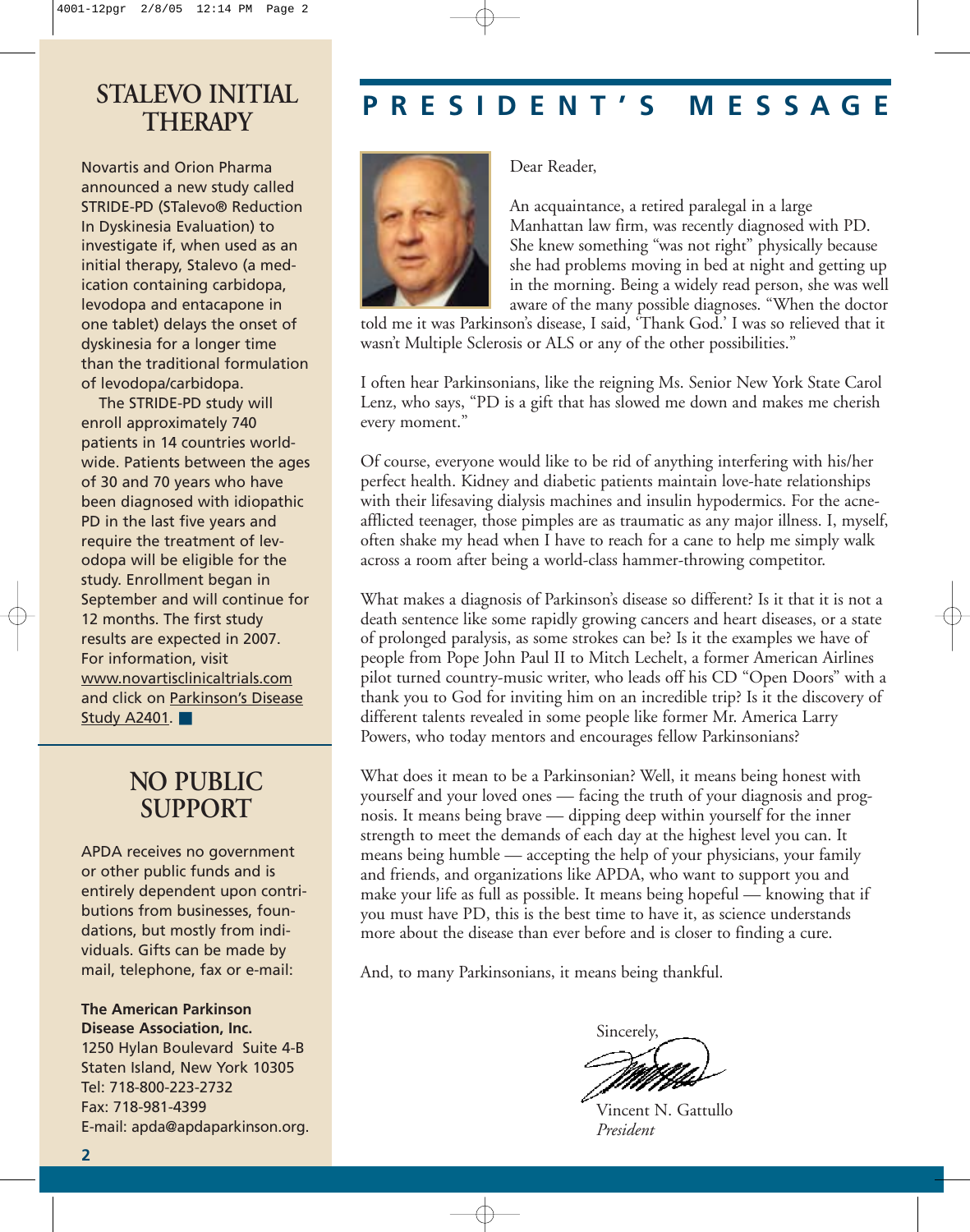# **THERAPY**

Novartis and Orion Pharma announced a new study called STRIDE-PD (STalevo® Reduction In Dyskinesia Evaluation) to investigate if, when used as an initial therapy, Stalevo (a medication containing carbidopa, levodopa and entacapone in one tablet) delays the onset of dyskinesia for a longer time than the traditional formulation of levodopa/carbidopa.

The STRIDE-PD study will enroll approximately 740 patients in 14 countries worldwide. Patients between the ages of 30 and 70 years who have been diagnosed with idiopathic PD in the last five years and require the treatment of levodopa will be eligible for the study. Enrollment began in September and will continue for 12 months. The first study results are expected in 2007. For information, visit www.novartisclinicaltrials.com and click on Parkinson's Disease Study A2401. ■

# **NO PUBLIC SUPPORT**

APDA receives no government or other public funds and is entirely dependent upon contributions from businesses, foundations, but mostly from individuals. Gifts can be made by mail, telephone, fax or e-mail:

**The American Parkinson Disease Association, Inc.**  1250 Hylan Boulevard Suite 4-B Staten Island, New York 10305 Tel: 718-800-223-2732 Fax: 718-981-4399

E-mail: apda@apdaparkinson.org.

# **PRESIDENT'S MESSAGE STALEVO INITIAL**



Dear Reader,

An acquaintance, a retired paralegal in a large Manhattan law firm, was recently diagnosed with PD. She knew something "was not right" physically because she had problems moving in bed at night and getting up in the morning. Being a widely read person, she was well aware of the many possible diagnoses. "When the doctor

told me it was Parkinson's disease, I said, 'Thank God.' I was so relieved that it wasn't Multiple Sclerosis or ALS or any of the other possibilities."

I often hear Parkinsonians, like the reigning Ms. Senior New York State Carol Lenz, who says, "PD is a gift that has slowed me down and makes me cherish every moment."

Of course, everyone would like to be rid of anything interfering with his/her perfect health. Kidney and diabetic patients maintain love-hate relationships with their lifesaving dialysis machines and insulin hypodermics. For the acneafflicted teenager, those pimples are as traumatic as any major illness. I, myself, often shake my head when I have to reach for a cane to help me simply walk across a room after being a world-class hammer-throwing competitor.

What makes a diagnosis of Parkinson's disease so different? Is it that it is not a death sentence like some rapidly growing cancers and heart diseases, or a state of prolonged paralysis, as some strokes can be? Is it the examples we have of people from Pope John Paul II to Mitch Lechelt, a former American Airlines pilot turned country-music writer, who leads off his CD "Open Doors" with a thank you to God for inviting him on an incredible trip? Is it the discovery of different talents revealed in some people like former Mr. America Larry Powers, who today mentors and encourages fellow Parkinsonians?

What does it mean to be a Parkinsonian? Well, it means being honest with yourself and your loved ones — facing the truth of your diagnosis and prognosis. It means being brave — dipping deep within yourself for the inner strength to meet the demands of each day at the highest level you can. It means being humble — accepting the help of your physicians, your family and friends, and organizations like APDA, who want to support you and make your life as full as possible. It means being hopeful — knowing that if you must have PD, this is the best time to have it, as science understands more about the disease than ever before and is closer to finding a cure.

And, to many Parkinsonians, it means being thankful.

Sincerely,

Vincent N. Gattullo *President*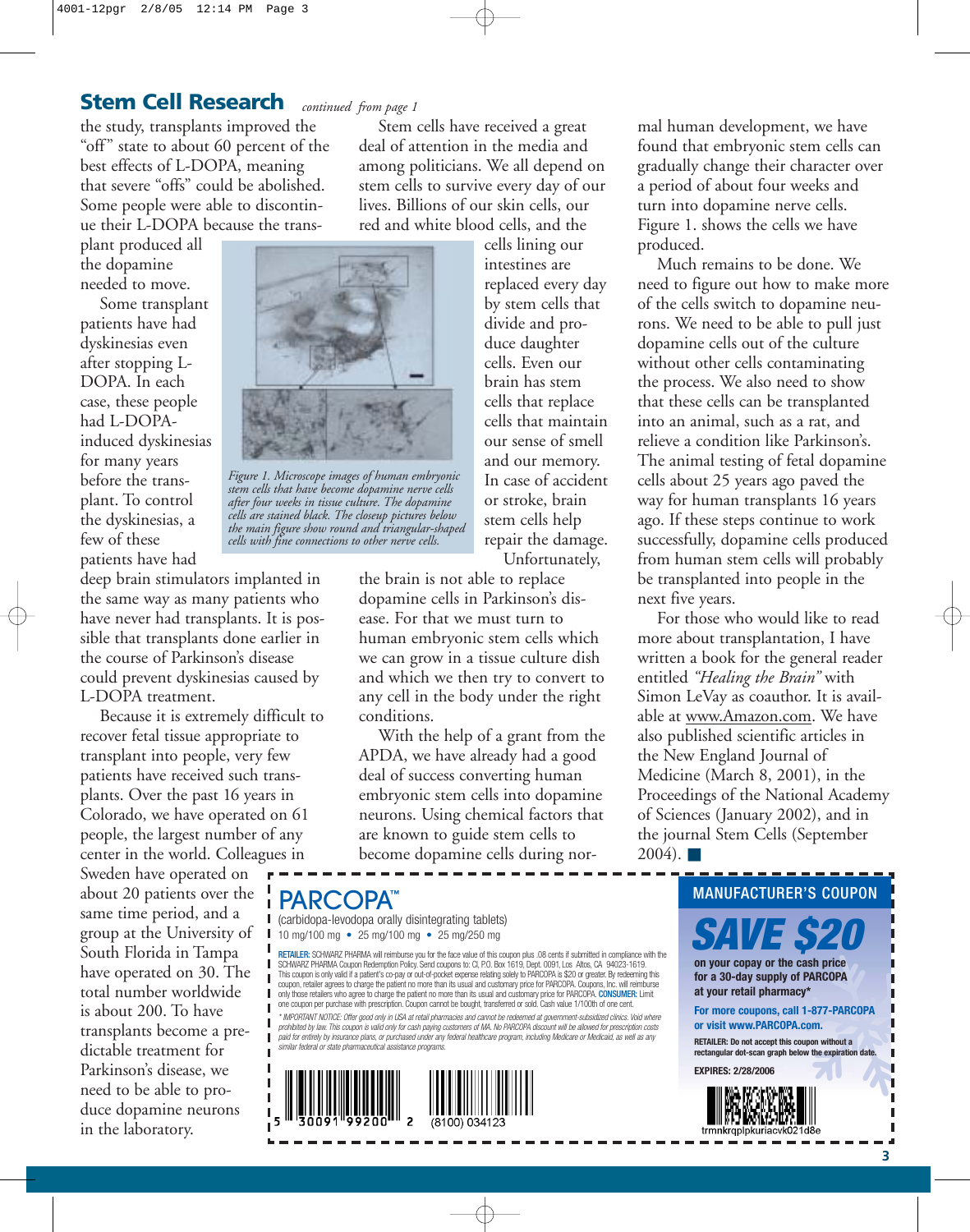# **Stem Cell Research** *continued from page 1*

the study, transplants improved the "off" state to about 60 percent of the best effects of L-DOPA, meaning that severe "offs" could be abolished. Some people were able to discontinue their L-DOPA because the trans-

plant produced all the dopamine needed to move.

Some transplant patients have had dyskinesias even after stopping L-DOPA. In each case, these people had L-DOPAinduced dyskinesias for many years before the transplant. To control the dyskinesias, a few of these patients have had

deep brain stimulators implanted in the same way as many patients who have never had transplants. It is possible that transplants done earlier in the course of Parkinson's disease could prevent dyskinesias caused by L-DOPA treatment.

Because it is extremely difficult to recover fetal tissue appropriate to transplant into people, very few patients have received such transplants. Over the past 16 years in Colorado, we have operated on 61 people, the largest number of any center in the world. Colleagues in

Sweden have operated on about 20 patients over the same time period, and a group at the University of South Florida in Tampa have operated on 30. The total number worldwide is about 200. To have transplants become a predictable treatment for Parkinson's disease, we need to be able to produce dopamine neurons in the laboratory.

Stem cells have received a great deal of attention in the media and among politicians. We all depend on stem cells to survive every day of our lives. Billions of our skin cells, our red and white blood cells, and the

cells lining our intestines are replaced every day by stem cells that divide and produce daughter cells. Even our brain has stem cells that replace cells that maintain our sense of smell and our memory. In case of accident or stroke, brain stem cells help repair the damage. Unfortunately,

the brain is not able to replace dopamine cells in Parkinson's disease. For that we must turn to human embryonic stem cells which we can grow in a tissue culture dish and which we then try to convert to any cell in the body under the right conditions.

With the help of a grant from the APDA, we have already had a good deal of success converting human embryonic stem cells into dopamine neurons. Using chemical factors that are known to guide stem cells to become dopamine cells during nor-

(carbidopa-levodopa orally disintegrating tablets) 10 mg/100 mg • 25 mg/100 mg • 25 mg/250 mg

RETAILER: SCHWARZ PHARMA will reimburse you for the face value of this coupon plus .08 cents if submitted in compliance with the SCHWARZ PHARMA Coupon Redemption Policy. Send coupons to: CI, P.O. Box 1619, Dept. 0091, Los Altos, CA 94023-1619.<br>This coupon is only valid if a patient's co-pay or out-of-pocket expense relating solely to PARCOPA is S20 one coupon per purchase with prescription. Coupon cannot be bought, transferred or sold. Cash value 1/100th of one cent. \* IMPORTANT NOTICE: Offer good only in USA at retail pharmacies and cannot be redeemed at government-subsidized clinics. Void where<br>prohibited by law. This coupon is valid only for cash paying customers of MA. No PARCOPA d

*paid for entirely by insurance plans, or purchased under any federal healthcare program, including Medicare or Medicaid, as well as any similar federal or state pharmaceutical assistance programs.*



mal human development, we have found that embryonic stem cells can gradually change their character over a period of about four weeks and turn into dopamine nerve cells. Figure 1. shows the cells we have produced.

Much remains to be done. We need to figure out how to make more of the cells switch to dopamine neurons. We need to be able to pull just dopamine cells out of the culture without other cells contaminating the process. We also need to show that these cells can be transplanted into an animal, such as a rat, and relieve a condition like Parkinson's. The animal testing of fetal dopamine cells about 25 years ago paved the way for human transplants 16 years ago. If these steps continue to work successfully, dopamine cells produced from human stem cells will probably be transplanted into people in the next five years.

For those who would like to read more about transplantation, I have written a book for the general reader entitled *"Healing the Brain"* with Simon LeVay as coauthor. It is available at www.Amazon.com. We have also published scientific articles in the New England Journal of Medicine (March 8, 2001), in the Proceedings of the National Academy of Sciences (January 2002), and in the journal Stem Cells (September  $2004$ ).  $\blacksquare$ 





*Figure 1. Microscope images of human embryonic stem cells that have become dopamine nerve cells after four weeks in tissue culture. The dopamine cells are stained black. The closeup pictures below the main figure show round and triangular-shaped cells with fine connections to other nerve cells.*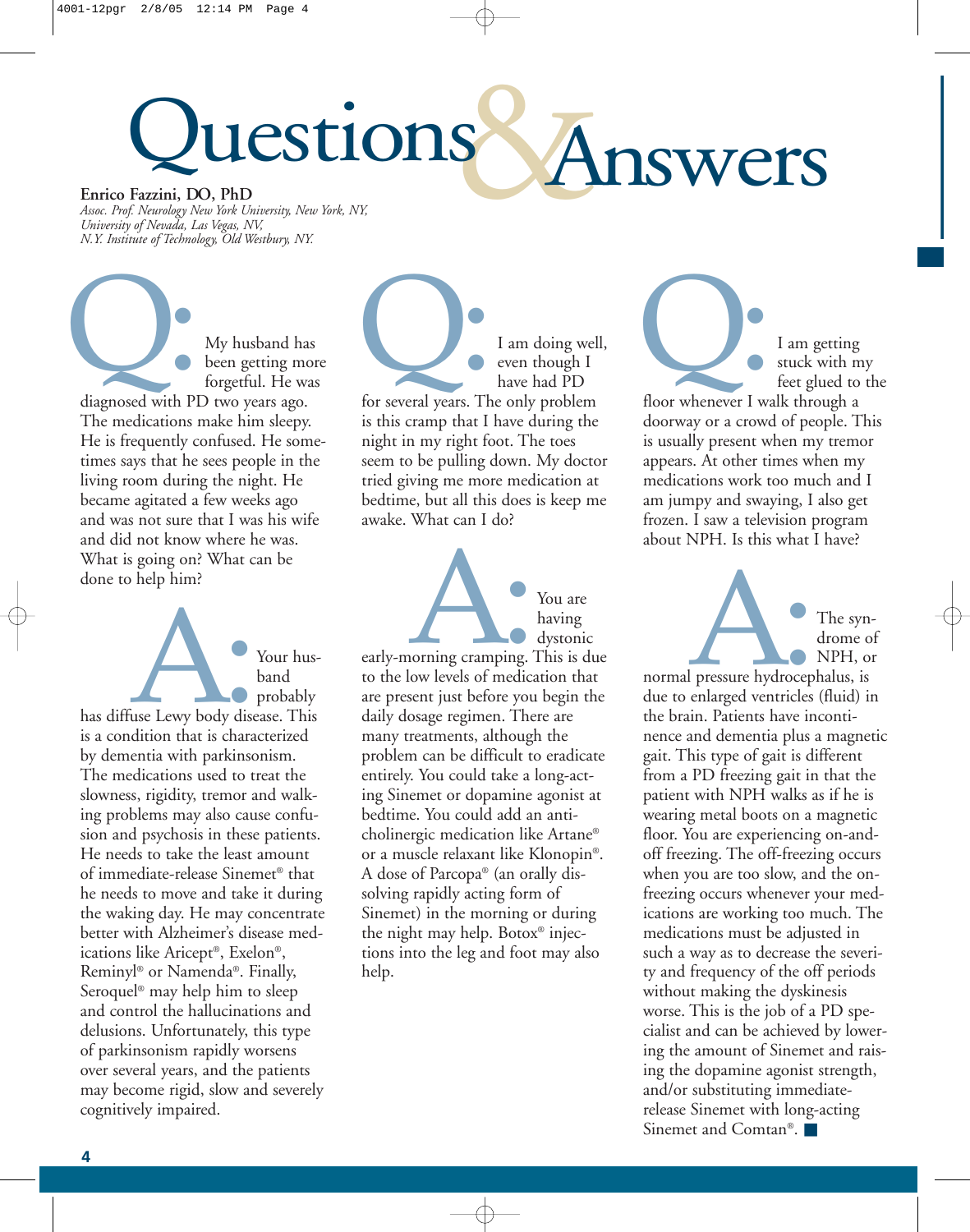# lestions Answers **Enrico Fazzini, DO, PhD**

*Assoc. Prof. Neurology New York University, New York, NY, University of Nevada, Las Vegas, NV, N.Y. Institute of Technology, Old Westbury, NY.*

My husband has been getting more forgetful. He was diagnosed with PD two years ago. The medications make him sleepy. He is frequently confused. He sometimes says that he sees people in the living room during the night. He became agitated a few weeks ago and was not sure that I was his wife and did not know where he was. What is going on? What can be done to help him? diagnosed with PI

Your husband probably has diffuse Lewy body disease. This is a condition that is characterized by dementia with parkinsonism. The medications used to treat the slowness, rigidity, tremor and walking problems may also cause confusion and psychosis in these patients. He needs to take the least amount of immediate-release Sinemet® that he needs to move and take it during the waking day. He may concentrate better with Alzheimer's disease medications like Aricept®, Exelon®, Reminyl® or Namenda®. Finally, Seroquel® may help him to sleep and control the hallucinations and delusions. Unfortunately, this type of parkinsonism rapidly worsens over several years, and the patients may become rigid, slow and severely cognitively impaired. Filse Lewy body dise

I am doing well, even though I have had PD I am doing well<br>
Let though I<br>
thave had PD<br>
for several years. The only problem is this cramp that I have during the night in my right foot. The toes seem to be pulling down. My doctor tried giving me more medication at bedtime, but all this does is keep me awake. What can I do?



early-morning cramping. This is due to the low levels of medication that are present just before you begin the daily dosage regimen. There are many treatments, although the problem can be difficult to eradicate entirely. You could take a long-acting Sinemet or dopamine agonist at bedtime. You could add an anticholinergic medication like Artane® or a muscle relaxant like Klonopin®. A dose of Parcopa® (an orally dissolving rapidly acting form of Sinemet) in the morning or during the night may help. Botox® injections into the leg and foot may also help.

I am getting stuck with my feet glued to the I am getting<br>
stuck with n<br>
feet glued to<br>
floor whenever I walk through a doorway or a crowd of people. This is usually present when my tremor appears. At other times when my medications work too much and I am jumpy and swaying, I also get frozen. I saw a television program about NPH. Is this what I have?



normal pressure hydrocephalus, is due to enlarged ventricles (fluid) in the brain. Patients have incontinence and dementia plus a magnetic gait. This type of gait is different from a PD freezing gait in that the patient with NPH walks as if he is wearing metal boots on a magnetic floor. You are experiencing on-andoff freezing. The off-freezing occurs when you are too slow, and the onfreezing occurs whenever your medications are working too much. The medications must be adjusted in such a way as to decrease the severity and frequency of the off periods without making the dyskinesis worse. This is the job of a PD specialist and can be achieved by lowering the amount of Sinemet and raising the dopamine agonist strength, and/or substituting immediaterelease Sinemet with long-acting Sinemet and Comtan®. ■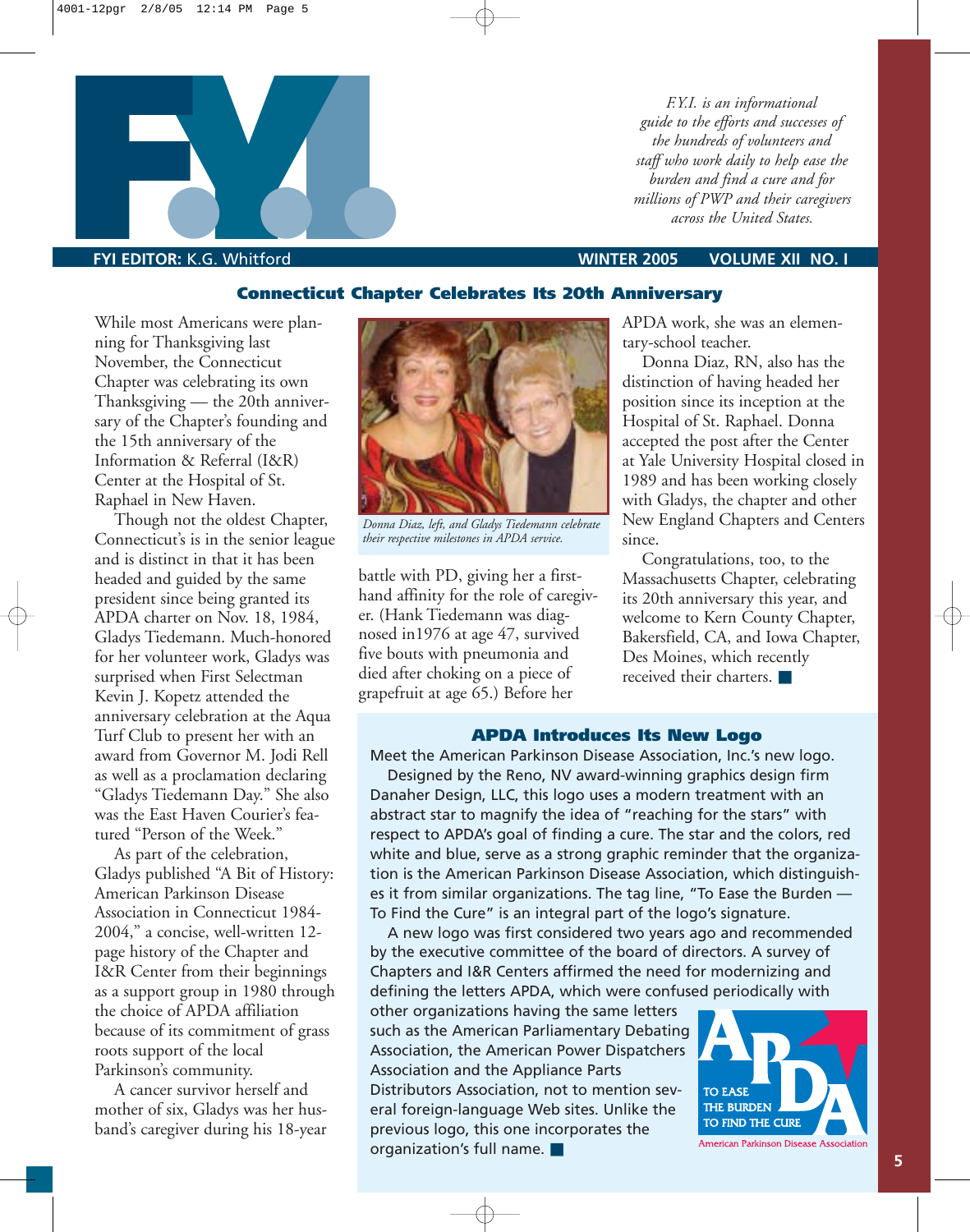

*F.Y.I. is an informational guide to the efforts and successes of the hundreds of volunteers and staff who work daily to help ease the burden and find a cure and for millions of PWP and their caregivers across the United States.*

**Connecticut Chapter Celebrates Its 20th Anniversary**

While most Americans were planning for Thanksgiving last November, the Connecticut Chapter was celebrating its own Thanksgiving — the 20th anniversary of the Chapter's founding and the 15th anniversary of the Information & Referral (I&R) Center at the Hospital of St. Raphael in New Haven.

Though not the oldest Chapter, Connecticut's is in the senior league and is distinct in that it has been headed and guided by the same president since being granted its APDA charter on Nov. 18, 1984, Gladys Tiedemann. Much-honored for her volunteer work, Gladys was surprised when First Selectman Kevin J. Kopetz attended the anniversary celebration at the Aqua Turf Club to present her with an award from Governor M. Jodi Rell as well as a proclamation declaring "Gladys Tiedemann Day." She also was the East Haven Courier's featured "Person of the Week."

As part of the celebration, Gladys published "A Bit of History: American Parkinson Disease Association in Connecticut 1984- 2004," a concise, well-written 12 page history of the Chapter and I&R Center from their beginnings as a support group in 1980 through the choice of APDA affiliation because of its commitment of grass roots support of the local Parkinson's community.

A cancer survivor herself and mother of six, Gladys was her husband's caregiver during his 18-year



*Donna Diaz, left, and Gladys Tiedemann celebrate their respective milestones in APDA service.* 

battle with PD, giving her a firsthand affinity for the role of caregiver. (Hank Tiedemann was diagnosed in1976 at age 47, survived five bouts with pneumonia and died after choking on a piece of grapefruit at age 65.) Before her

APDA work, she was an elementary-school teacher.

Donna Diaz, RN, also has the distinction of having headed her position since its inception at the Hospital of St. Raphael. Donna accepted the post after the Center at Yale University Hospital closed in 1989 and has been working closely with Gladys, the chapter and other New England Chapters and Centers since.

Congratulations, too, to the Massachusetts Chapter, celebrating its 20th anniversary this year, and welcome to Kern County Chapter, Bakersfield, CA, and Iowa Chapter, Des Moines, which recently received their charters. ■

## **APDA Introduces Its New Logo**

Meet the American Parkinson Disease Association, Inc.'s new logo.

Designed by the Reno, NV award-winning graphics design firm Danaher Design, LLC, this logo uses a modern treatment with an abstract star to magnify the idea of "reaching for the stars" with respect to APDA's goal of finding a cure. The star and the colors, red white and blue, serve as a strong graphic reminder that the organization is the American Parkinson Disease Association, which distinguishes it from similar organizations. The tag line, "To Ease the Burden — To Find the Cure" is an integral part of the logo's signature.

A new logo was first considered two years ago and recommended by the executive committee of the board of directors. A survey of Chapters and I&R Centers affirmed the need for modernizing and defining the letters APDA, which were confused periodically with

other organizations having the same letters such as the American Parliamentary Debating Association, the American Power Dispatchers Association and the Appliance Parts Distributors Association, not to mention several foreign-language Web sites. Unlike the previous logo, this one incorporates the organization's full name. ■

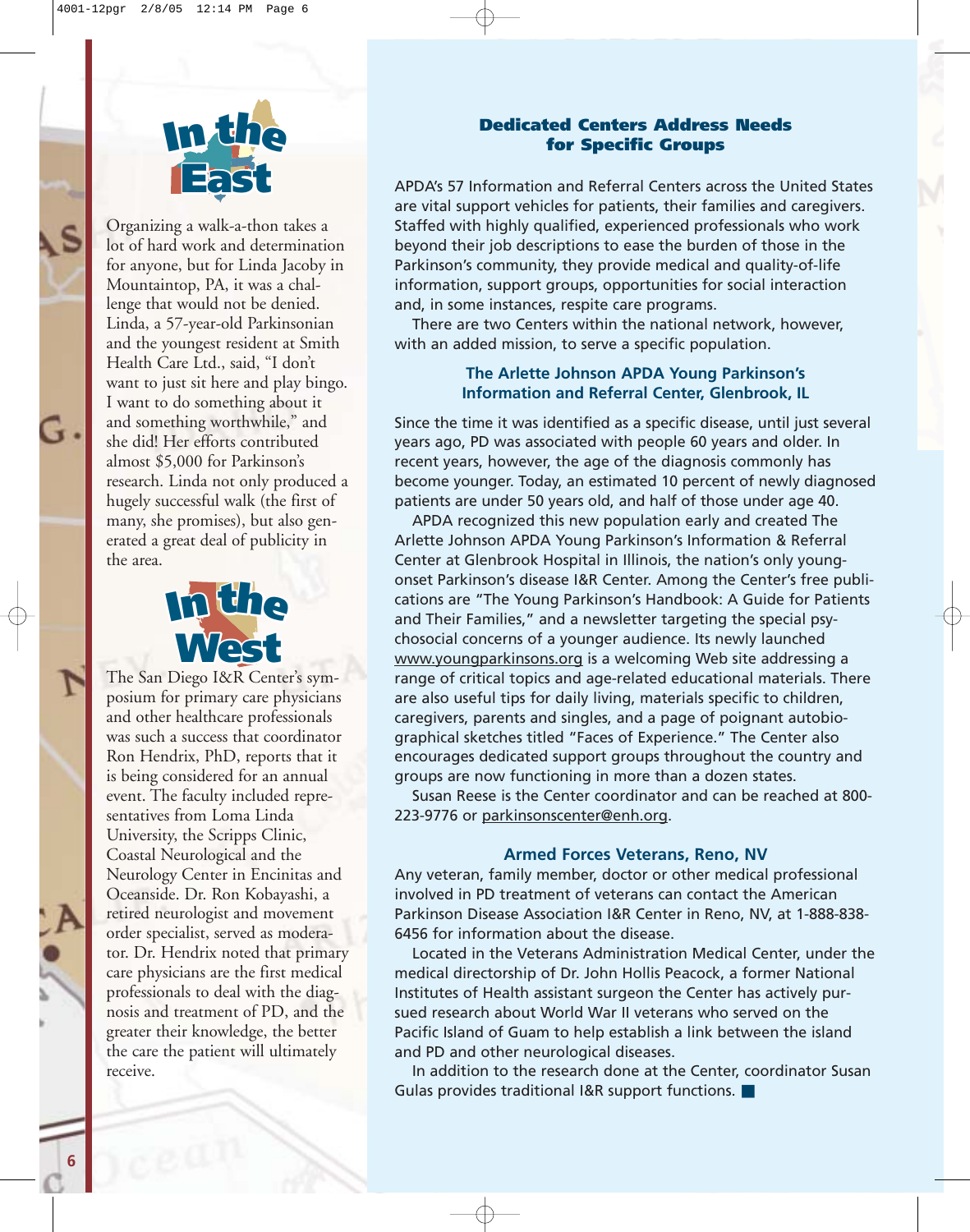

Organizing a walk-a-thon takes a **Significantly** a waik a thon takes a<br>lot of hard work and determination<br>for anyone, but for I inda Jacoby in for anyone, but for Linda Jacoby in Mountaintop, PA, it was a challenge that would not be denied. Linda, a 57-year-old Parkinsonian and the youngest resident at Smith<br> **In E**nd the Care I td said "I don't Health Care Ltd., said, "I don't want to just sit here and play bingo. want to just sit here and play bi<mark>l</mark><br>I want to do something about it and something worthwhile," and she did! Her efforts contributed almost \$5,000 for Parkinson's almost \$5,000 for Parkinson's<br>research. Linda not only produced a hugely successful walk (the first of many, she promises), but also generated a great deal of publicity in the area.



The San Diego I&R Center's symposium for primary care physicians and other healthcare professionals<br>was such a success that coordinate was such a success that coordinator Ron Hendrix, PhD, reports that it Kon Hendrix, PhD, reports that<br>is being considered for an annual event. The faculty included representatives from Loma Linda University, the Scripps Clinic, Coastal Neurological and the Neurology Center in Encinitas and Oceanside. Dr. Ron Kobayashi, a retired neurologist and movement order specialist, served as moderator. Dr. Hendrix noted that primary care physicians are the first medical professionals to deal with the diagnosis and treatment of PD, and the greater their knowledge, the better the care the patient will ultimately receive.

## **Dedicated Centers Address Needs for Specific Groups**

APDA's 57 Information and Referral Centers across the United States are vital support vehicles for patients, their families and caregivers. Staffed with highly qualified, experienced professionals who work beyond their job descriptions to ease the burden of those in the Parkinson's community, they provide medical and quality-of-life information, support groups, opportunities for social interaction and, in some instances, respite care programs.

There are two Centers within the national network, however, with an added mission, to serve a specific population.

## **The Arlette Johnson APDA Young Parkinson's Information and Referral Center, Glenbrook, IL**

Since the time it was identified as a specific disease, until just several years ago, PD was associated with people 60 years and older. In recent years, however, the age of the diagnosis commonly has become younger. Today, an estimated 10 percent of newly diagnosed patients are under 50 years old, and half of those under age 40.

APDA recognized this new population early and created The Arlette Johnson APDA Young Parkinson's Information & Referral Center at Glenbrook Hospital in Illinois, the nation's only youngonset Parkinson's disease I&R Center. Among the Center's free publications are "The Young Parkinson's Handbook: A Guide for Patients and Their Families," and a newsletter targeting the special psychosocial concerns of a younger audience. Its newly launched www.youngparkinsons.org is a welcoming Web site addressing a range of critical topics and age-related educational materials. There are also useful tips for daily living, materials specific to children, caregivers, parents and singles, and a page of poignant autobiographical sketches titled "Faces of Experience." The Center also encourages dedicated support groups throughout the country and groups are now functioning in more than a dozen states.

Susan Reese is the Center coordinator and can be reached at 800- 223-9776 or parkinsonscenter@enh.org.

### **Armed Forces Veterans, Reno, NV**

Any veteran, family member, doctor or other medical professional involved in PD treatment of veterans can contact the American Parkinson Disease Association I&R Center in Reno, NV, at 1-888-838- 6456 for information about the disease.

Located in the Veterans Administration Medical Center, under the medical directorship of Dr. John Hollis Peacock, a former National Institutes of Health assistant surgeon the Center has actively pursued research about World War II veterans who served on the Pacific Island of Guam to help establish a link between the island and PD and other neurological diseases.

In addition to the research done at the Center, coordinator Susan Gulas provides traditional I&R support functions. ■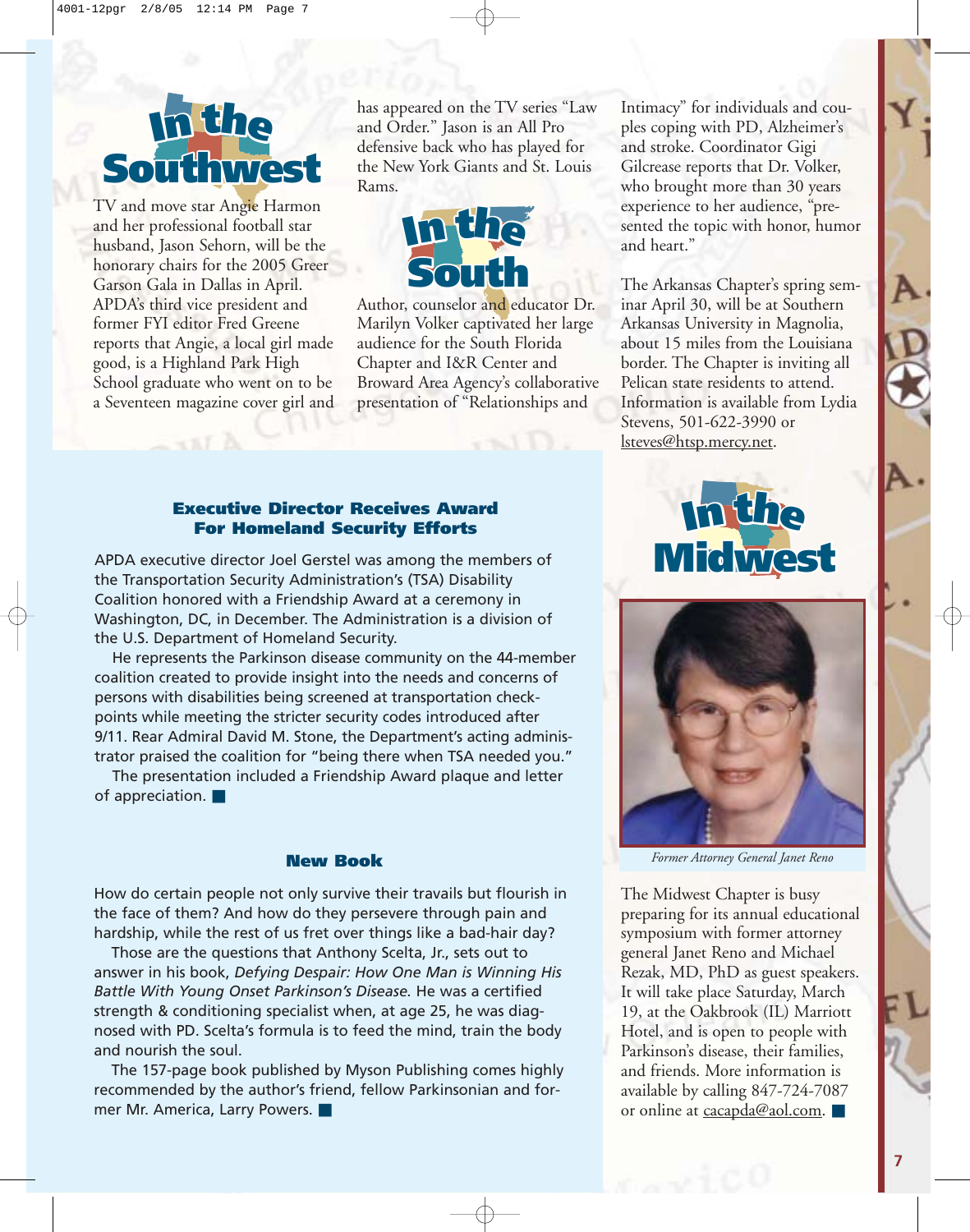# **Southwest I<sup>n</sup> th<sup>e</sup>**

Garson Gala in Dallas in April.<br>APDA's third vice president and husband, Jason Sehorn, will be the<br>honorary chairs for the 2005 Greet **I<sup>n</sup> th<sup>e</sup>** School graduate who went on to be TV and move star Angie Harmon and her professional football star honorary chairs for the 2005 Greer Garson Gala in Dallas in April. former FYI editor Fred Greene reports that Angie, a local girl made good, is a Highland Park High a Seventeen magazine cover girl and

**East**

defensive back who has played for<br>the New York Giants and St. Loui **I<sup>n</sup> th<sup>e</sup>** has appeared on the TV series "Law and Order." Jason is an All Pro the New York Giants and St. Louis Rams.



presentation of "Relationships and<br>
<u>F</u> **I<sup>n</sup> th<sup>e</sup>** Broward Area Agency's collaborative Author, counselor and educator Dr. Marilyn Volker captivated her large audience for the South Florida Chapter and I&R Center and

**I<sup>n</sup> th<sup>e</sup> Executive Director Receives Award For Homeland Security Efforts**

**South Mulleland Security Entrists**<br>APDA executive director Joel Gerstel was among the members of Washington, DC, in December. The Administration is a division of<br>the U.S. Department of Homeland Security. the Transportation Security Administration's (TSA) Disability Coalition honored with a Friendship Award at a ceremony in the U.S. Department of Homeland Security.

why on the 44-<br>eeds and conce<br>psportation che **III. Rear Admiral David M. Stone, the Department's acting administrator praised the coalition for "being there when TSA needed you."<br>The state of the coalition for "being there when TSA needed you."** He represents the Parkinson disease community on the 44-member coalition created to provide insight into the needs and concerns of persons with disabilities being screened at transportation checkpoints while meeting the stricter security codes introduced after 9/11. Rear Admiral David M. Stone, the Department's acting adminis-

**East** The presentation included a Friendship Award plaque and letter of appreciation. ■

How do certain people not only survive their travails but flourish in the face of them? And how do they persevere through pain and hardship, while the rest of us fret over things like a bad-hair day?

Those are the questions that Anthony Scelta, Jr., sets out to answer in his book, *Defying Despair: How One Man is Winning His Battle With Young Onset Parkinson's Disease.* He was a certified strength & conditioning specialist when, at age 25, he was diagnosed with PD. Scelta's formula is to feed the mind, train the body and nourish the soul.

The 157-page book published by Myson Publishing comes highly recommended by the author's friend, fellow Parkinsonian and former Mr. America, Larry Powers. ■

**I<sup>n</sup> th<sup>e</sup>** sented the topic with honor, humor Intimacy" for individuals and couples coping with PD, Alzheimer's and stroke. Coordinator Gigi Gilcrease reports that Dr. Volker, who brought more than 30 years experience to her audience, "preand heart."

The Arkansas Chapter's spring sem-<br>inar April 30, will be at Southern Information is available from Lydia<br>Stevens, 501-622-3990 or **I**<br>**I** border. The Chapter is inviting all<br>Pelican state residents to attend inar April 30, will be at Southern Arkansas University in Magnolia, about 15 miles from the Louisiana Pelican state residents to attend. Stevens, 501-622-3990 or lsteves@htsp.mercy.net.





**New Book** *Former Attorney General Janet Reno*

**East Transformance**<br>
<u>general Janet Reno and Michael</u> **I<sup>n</sup> th<sup>e</sup>** The Midwest Chapter is busy preparing for its annual educational general Janet Reno and Michael Rezak, MD, PhD as guest speakers. It will take place Saturday, March 19, at the Oakbrook (IL) Marriott Hotel, and is open to people with Parkinson's disease, their families, and friends. More information is available by calling 847-724-7087 or online at cacapda@aol.com. ■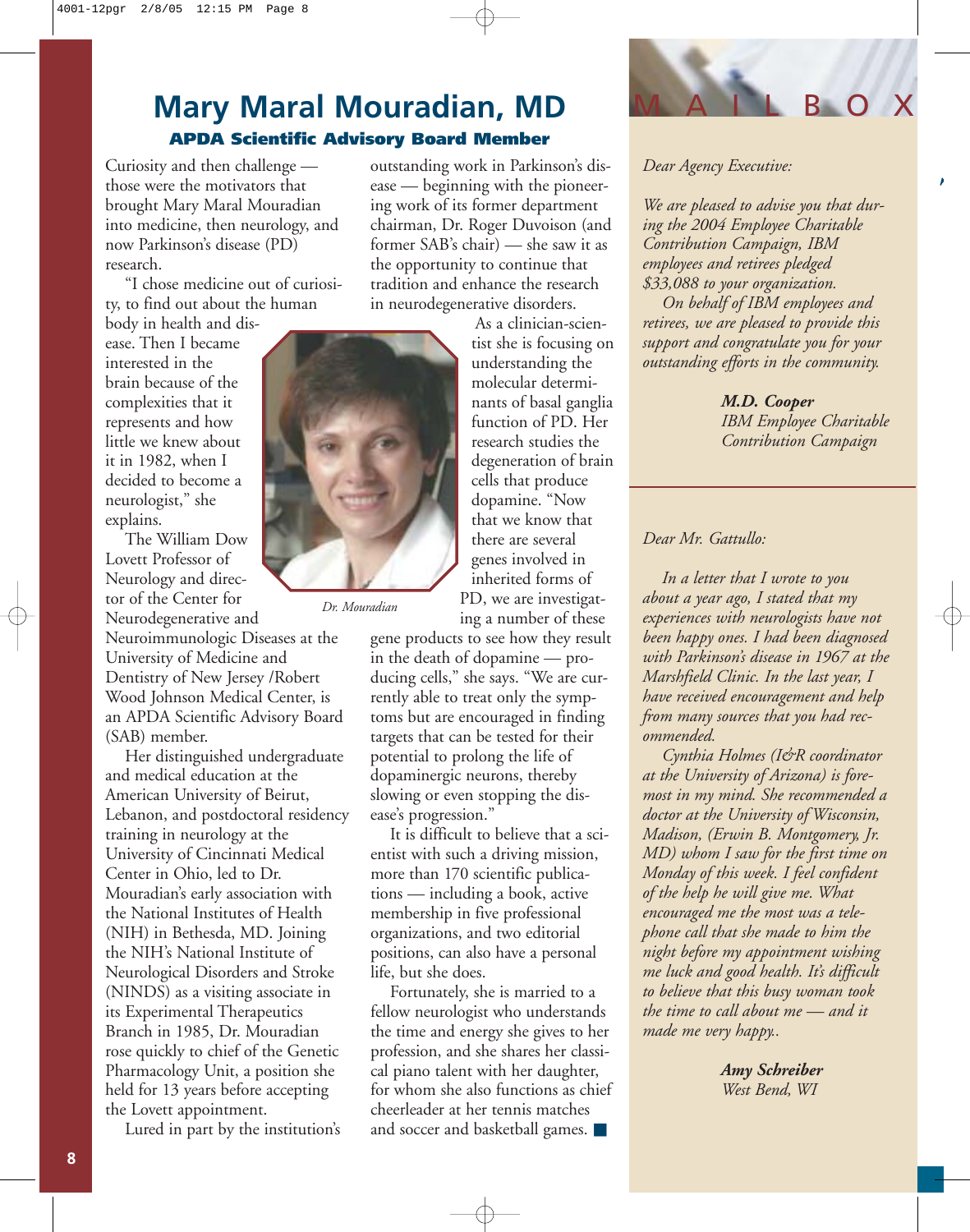# **Mary Maral Mouradian, MD APDA Scientific Advisory Board Member**

Curiosity and then challenge those were the motivators that brought Mary Maral Mouradian into medicine, then neurology, and now Parkinson's disease (PD) research.

"I chose medicine out of curiosity, to find out about the human

body in health and disease. Then I became interested in the brain because of the complexities that it represents and how little we knew about it in 1982, when I decided to become a neurologist," she explains.

The William Dow Lovett Professor of Neurology and director of the Center for Neurodegenerative and Neuroimmunologic Diseases at the University of Medicine and Dentistry of New Jersey /Robert Wood Johnson Medical Center, is an APDA Scientific Advisory Board

(SAB) member.

Her distinguished undergraduate and medical education at the American University of Beirut, Lebanon, and postdoctoral residency training in neurology at the University of Cincinnati Medical Center in Ohio, led to Dr. Mouradian's early association with the National Institutes of Health (NIH) in Bethesda, MD. Joining the NIH's National Institute of Neurological Disorders and Stroke (NINDS) as a visiting associate in its Experimental Therapeutics Branch in 1985, Dr. Mouradian rose quickly to chief of the Genetic Pharmacology Unit, a position she held for 13 years before accepting the Lovett appointment.

Lured in part by the institution's

outstanding work in Parkinson's disease — beginning with the pioneering work of its former department chairman, Dr. Roger Duvoison (and former SAB's chair) — she saw it as the opportunity to continue that tradition and enhance the research in neurodegenerative disorders.

> As a clinician-scientist she is focusing on understanding the molecular determinants of basal ganglia function of PD. Her research studies the degeneration of brain cells that produce dopamine. "Now that we know that there are several genes involved in inherited forms of PD, we are investigat-

*Dr. Mouradian*

ing a number of these gene products to see how they result in the death of dopamine — producing cells," she says. "We are currently able to treat only the symptoms but are encouraged in finding targets that can be tested for their potential to prolong the life of dopaminergic neurons, thereby slowing or even stopping the disease's progression."

It is difficult to believe that a scientist with such a driving mission, more than 170 scientific publications — including a book, active membership in five professional organizations, and two editorial positions, can also have a personal life, but she does.

Fortunately, she is married to a fellow neurologist who understands the time and energy she gives to her profession, and she shares her classical piano talent with her daughter, for whom she also functions as chief cheerleader at her tennis matches and soccer and basketball games. ■



 $\mathcal{L}_{\mathcal{L}}$ 

### *Dear Agency Executive:*

*We are pleased to advise you that during the 2004 Employee Charitable Contribution Campaign, IBM employees and retirees pledged \$33,088 to your organization.*

*On behalf of IBM employees and retirees, we are pleased to provide this support and congratulate you for your outstanding efforts in the community.* 

> *M.D. Cooper IBM Employee Charitable Contribution Campaign*

## *Dear Mr. Gattullo:*

*In a letter that I wrote to you about a year ago, I stated that my experiences with neurologists have not been happy ones. I had been diagnosed with Parkinson's disease in 1967 at the Marshfield Clinic. In the last year, I have received encouragement and help from many sources that you had recommended.* 

*Cynthia Holmes (I&R coordinator at the University of Arizona) is foremost in my mind. She recommended a doctor at the University of Wisconsin, Madison, (Erwin B. Montgomery, Jr. MD) whom I saw for the first time on Monday of this week. I feel confident of the help he will give me. What encouraged me the most was a telephone call that she made to him the night before my appointment wishing me luck and good health. It's difficult to believe that this busy woman took the time to call about me — and it made me very happy..*

> *Amy Schreiber West Bend, WI*

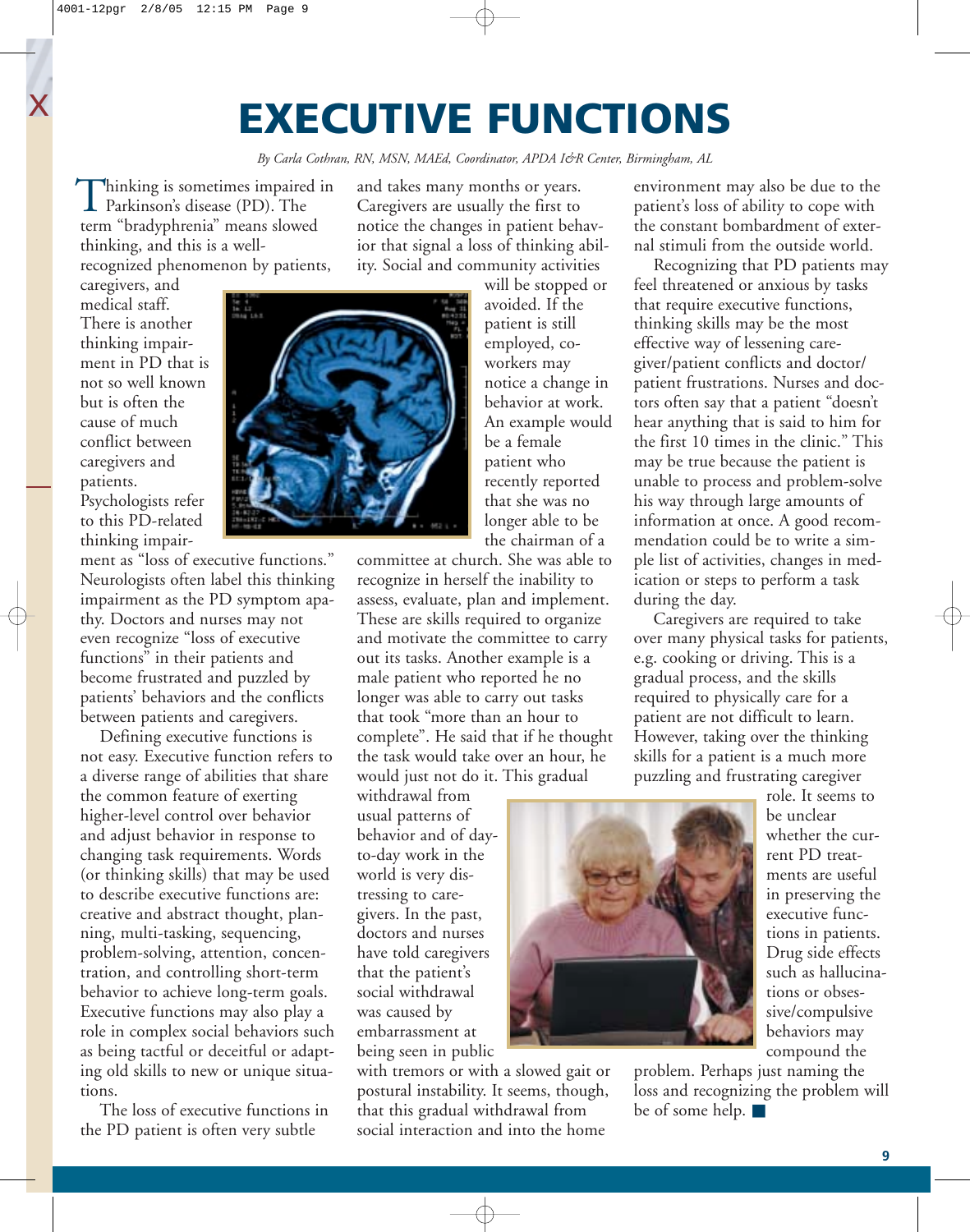# **EXECUTIVE FUNCTIONS**

*By Carla Cothran, RN, MSN, MAEd, Coordinator, APDA I&R Center, Birmingham, AL*

hinking is sometimes impaired in Thinking is sometimes impaire<br>Parkinson's disease (PD). The term "bradyphrenia" means slowed thinking, and this is a wellrecognized phenomenon by patients,

and takes many months or years. Caregivers are usually the first to notice the changes in patient behavior that signal a loss of thinking ability. Social and community activities

caregivers, and medical staff. There is another thinking impairment in PD that is not so well known but is often the cause of much conflict between caregivers and patients. Psychologists refer to this PD-related thinking impair-

ment as "loss of executive functions." Neurologists often label this thinking impairment as the PD symptom apathy. Doctors and nurses may not even recognize "loss of executive functions" in their patients and become frustrated and puzzled by patients' behaviors and the conflicts between patients and caregivers.

Defining executive functions is not easy. Executive function refers to a diverse range of abilities that share the common feature of exerting higher-level control over behavior and adjust behavior in response to changing task requirements. Words (or thinking skills) that may be used to describe executive functions are: creative and abstract thought, planning, multi-tasking, sequencing, problem-solving, attention, concentration, and controlling short-term behavior to achieve long-term goals. Executive functions may also play a role in complex social behaviors such as being tactful or deceitful or adapting old skills to new or unique situations.

The loss of executive functions in the PD patient is often very subtle

will be stopped or avoided. If the patient is still employed, coworkers may notice a change in behavior at work. An example would be a female patient who recently reported that she was no longer able to be the chairman of a

committee at church. She was able to recognize in herself the inability to assess, evaluate, plan and implement. These are skills required to organize and motivate the committee to carry out its tasks. Another example is a male patient who reported he no longer was able to carry out tasks that took "more than an hour to complete". He said that if he thought the task would take over an hour, he would just not do it. This gradual

withdrawal from usual patterns of behavior and of dayto-day work in the world is very distressing to caregivers. In the past, doctors and nurses have told caregivers that the patient's social withdrawal was caused by embarrassment at being seen in public

with tremors or with a slowed gait or postural instability. It seems, though, that this gradual withdrawal from social interaction and into the home

environment may also be due to the patient's loss of ability to cope with the constant bombardment of external stimuli from the outside world.

Recognizing that PD patients may feel threatened or anxious by tasks that require executive functions, thinking skills may be the most effective way of lessening caregiver/patient conflicts and doctor/ patient frustrations. Nurses and doctors often say that a patient "doesn't hear anything that is said to him for the first 10 times in the clinic." This may be true because the patient is unable to process and problem-solve his way through large amounts of information at once. A good recommendation could be to write a simple list of activities, changes in medication or steps to perform a task during the day.

Caregivers are required to take over many physical tasks for patients, e.g. cooking or driving. This is a gradual process, and the skills required to physically care for a patient are not difficult to learn. However, taking over the thinking skills for a patient is a much more puzzling and frustrating caregiver



role. It seems to be unclear whether the current PD treatments are useful in preserving the executive functions in patients. Drug side effects such as hallucinations or obsessive/compulsive behaviors may compound the

problem. Perhaps just naming the loss and recognizing the problem will be of some help. ■

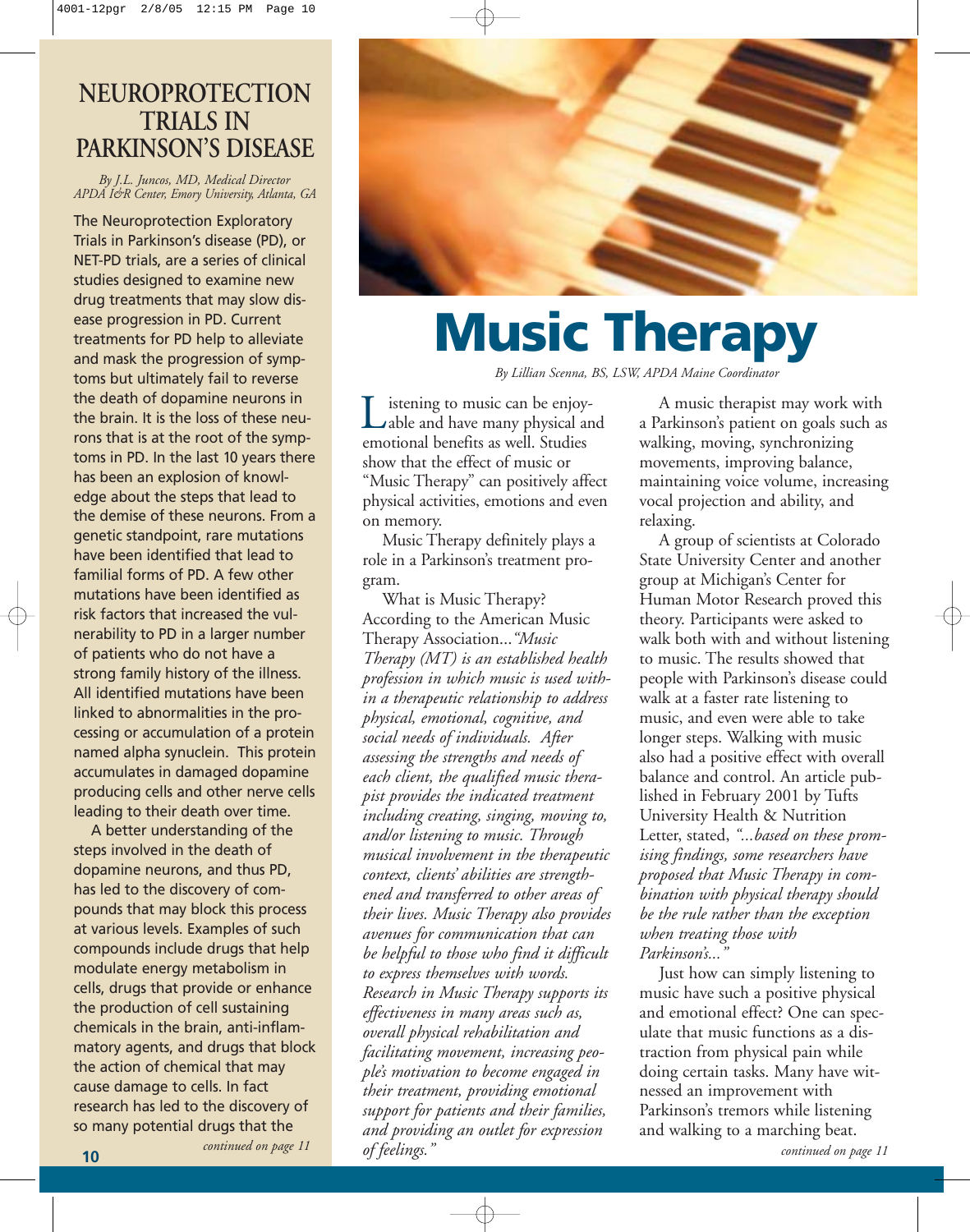# **NEUROPROTECTION TRIALS IN PARKINSON'S DISEASE**

*By J.L. Juncos, MD, Medical Director APDA I&R Center, Emory University, Atlanta, GA*

The Neuroprotection Exploratory Trials in Parkinson's disease (PD), or NET-PD trials, are a series of clinical studies designed to examine new drug treatments that may slow disease progression in PD. Current treatments for PD help to alleviate and mask the progression of symptoms but ultimately fail to reverse the death of dopamine neurons in the brain. It is the loss of these neurons that is at the root of the symptoms in PD. In the last 10 years there has been an explosion of knowledge about the steps that lead to the demise of these neurons. From a genetic standpoint, rare mutations have been identified that lead to familial forms of PD. A few other mutations have been identified as risk factors that increased the vulnerability to PD in a larger number of patients who do not have a strong family history of the illness. All identified mutations have been linked to abnormalities in the processing or accumulation of a protein named alpha synuclein. This protein accumulates in damaged dopamine producing cells and other nerve cells leading to their death over time.

A better understanding of the steps involved in the death of dopamine neurons, and thus PD, has led to the discovery of compounds that may block this process at various levels. Examples of such compounds include drugs that help modulate energy metabolism in cells, drugs that provide or enhance the production of cell sustaining chemicals in the brain, anti-inflammatory agents, and drugs that block the action of chemical that may cause damage to cells. In fact research has led to the discovery of so many potential drugs that the

*continued on page 11*



# **Music Therapy**

*By Lillian Scenna, BS, LSW, APDA Maine Coordinator*

istening to music can be enjoyable and have many physical and Listening to music can be enjoy<br>able and have many physical a<br>emotional benefits as well. Studies show that the effect of music or "Music Therapy" can positively affect physical activities, emotions and even on memory.

Music Therapy definitely plays a role in a Parkinson's treatment program.

What is Music Therapy? According to the American Music Therapy Association...*"Music Therapy (MT) is an established health profession in which music is used within a therapeutic relationship to address physical, emotional, cognitive, and social needs of individuals. After assessing the strengths and needs of each client, the qualified music therapist provides the indicated treatment including creating, singing, moving to, and/or listening to music. Through musical involvement in the therapeutic context, clients' abilities are strengthened and transferred to other areas of their lives. Music Therapy also provides avenues for communication that can be helpful to those who find it difficult to express themselves with words. Research in Music Therapy supports its effectiveness in many areas such as, overall physical rehabilitation and facilitating movement, increasing people's motivation to become engaged in their treatment, providing emotional support for patients and their families, and providing an outlet for expression of feelings."*

A music therapist may work with a Parkinson's patient on goals such as walking, moving, synchronizing movements, improving balance, maintaining voice volume, increasing vocal projection and ability, and relaxing.

A group of scientists at Colorado State University Center and another group at Michigan's Center for Human Motor Research proved this theory. Participants were asked to walk both with and without listening to music. The results showed that people with Parkinson's disease could walk at a faster rate listening to music, and even were able to take longer steps. Walking with music also had a positive effect with overall balance and control. An article published in February 2001 by Tufts University Health & Nutrition Letter, stated, *"...based on these promising findings, some researchers have proposed that Music Therapy in combination with physical therapy should be the rule rather than the exception when treating those with Parkinson's..."*

Just how can simply listening to music have such a positive physical and emotional effect? One can speculate that music functions as a distraction from physical pain while doing certain tasks. Many have witnessed an improvement with Parkinson's tremors while listening and walking to a marching beat. *continued on page 11*

**10**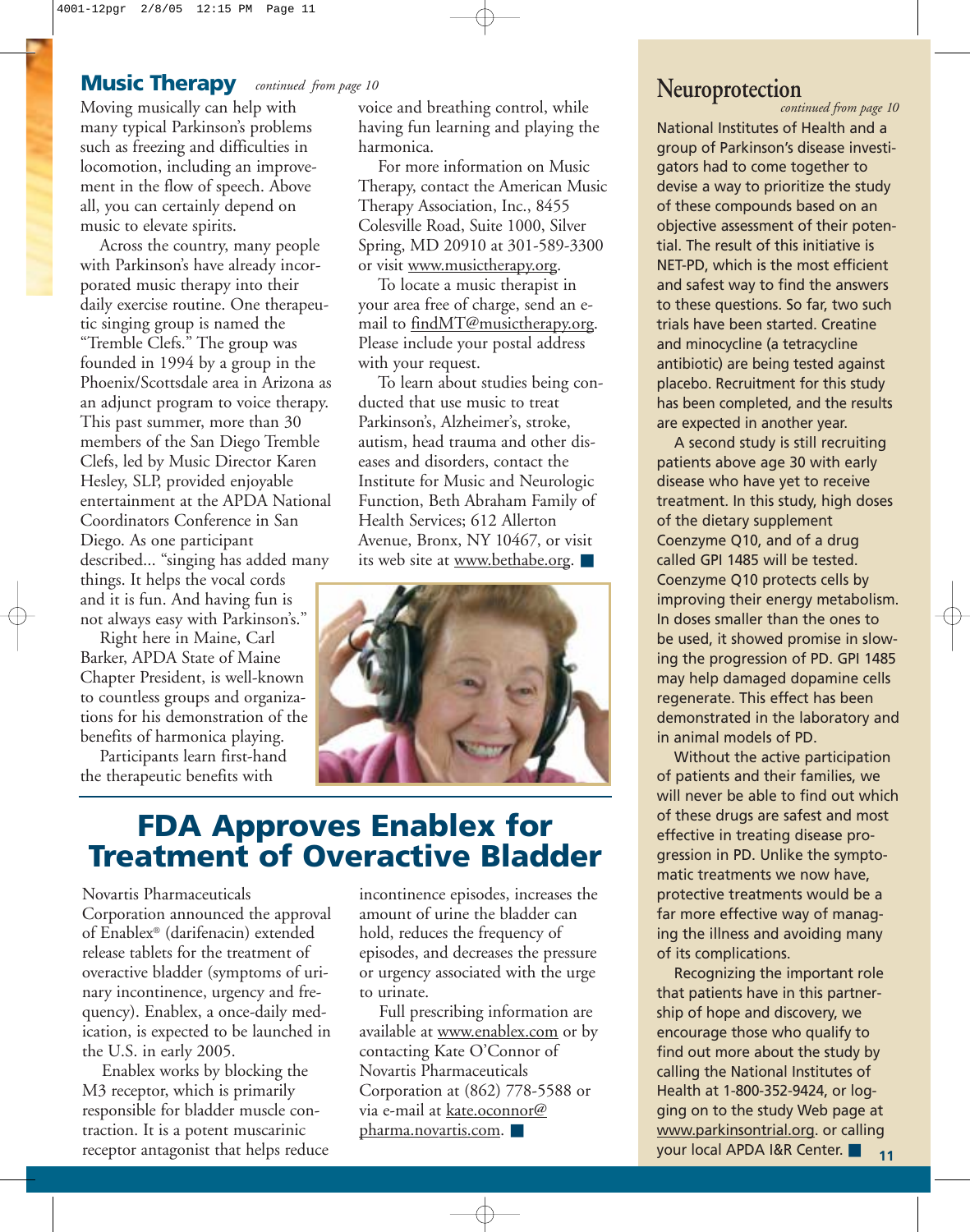## **Music Therapy** *continued from page 10*

**NEUSIC INETAPY** *continued from page 10*<br>Moving musically can help with voice and breathing control, while *cont* many typical Parkinson's problems such as freezing and difficulties in locomotion, including an improvement in the flow of speech. Above all, you can certainly depend on music to elevate spirits.

Across the country, many people with Parkinson's have already incorporated music therapy into their daily exercise routine. One therapeutic singing group is named the "Tremble Clefs." The group was founded in 1994 by a group in the Phoenix/Scottsdale area in Arizona as an adjunct program to voice therapy. This past summer, more than 30 members of the San Diego Tremble Clefs, led by Music Director Karen Hesley, SLP, provided enjoyable entertainment at the APDA National Coordinators Conference in San Diego. As one participant described... "singing has added many things. It helps the vocal cords and it is fun. And having fun is not always easy with Parkinson's."

Right here in Maine, Carl Barker, APDA State of Maine Chapter President, is well-known to countless groups and organizations for his demonstration of the benefits of harmonica playing.

Participants learn first-hand the therapeutic benefits with

having fun learning and playing the harmonica.

For more information on Music Therapy, contact the American Music Therapy Association, Inc., 8455 Colesville Road, Suite 1000, Silver Spring, MD 20910 at 301-589-3300 or visit www.musictherapy.org.

To locate a music therapist in your area free of charge, send an email to findMT@musictherapy.org. Please include your postal address with your request.

To learn about studies being conducted that use music to treat Parkinson's, Alzheimer's, stroke, autism, head trauma and other diseases and disorders, contact the Institute for Music and Neurologic Function, Beth Abraham Family of Health Services; 612 Allerton Avenue, Bronx, NY 10467, or visit its web site at www.bethabe.org. ■



# **FDA Approves Enablex for Treatment of Overactive Bladder**

Novartis Pharmaceuticals Corporation announced the approval of Enablex® (darifenacin) extended release tablets for the treatment of overactive bladder (symptoms of urinary incontinence, urgency and frequency). Enablex, a once-daily medication, is expected to be launched in the U.S. in early 2005.

Enablex works by blocking the M3 receptor, which is primarily responsible for bladder muscle contraction. It is a potent muscarinic receptor antagonist that helps reduce incontinence episodes, increases the amount of urine the bladder can hold, reduces the frequency of episodes, and decreases the pressure or urgency associated with the urge to urinate.

Full prescribing information are available at <u>www.enablex.com</u> or by contacting Kate O'Connor of Novartis Pharmaceuticals Corporation at (862) 778-5588 or via e-mail at kate.oconnor@ pharma.novartis.com. ■

*continued from page 10*

National Institutes of Health and a group of Parkinson's disease investigators had to come together to devise a way to prioritize the study of these compounds based on an objective assessment of their potential. The result of this initiative is NET-PD, which is the most efficient and safest way to find the answers to these questions. So far, two such trials have been started. Creatine and minocycline (a tetracycline antibiotic) are being tested against placebo. Recruitment for this study has been completed, and the results are expected in another year.

A second study is still recruiting patients above age 30 with early disease who have yet to receive treatment. In this study, high doses of the dietary supplement Coenzyme Q10, and of a drug called GPI 1485 will be tested. Coenzyme Q10 protects cells by improving their energy metabolism. In doses smaller than the ones to be used, it showed promise in slowing the progression of PD. GPI 1485 may help damaged dopamine cells regenerate. This effect has been demonstrated in the laboratory and in animal models of PD.

Without the active participation of patients and their families, we will never be able to find out which of these drugs are safest and most effective in treating disease progression in PD. Unlike the symptomatic treatments we now have, protective treatments would be a far more effective way of managing the illness and avoiding many of its complications.

**11** Recognizing the important role that patients have in this partnership of hope and discovery, we encourage those who qualify to find out more about the study by calling the National Institutes of Health at 1-800-352-9424, or logging on to the study Web page at www.parkinsontrial.org. or calling your local APDA I&R Center. ■